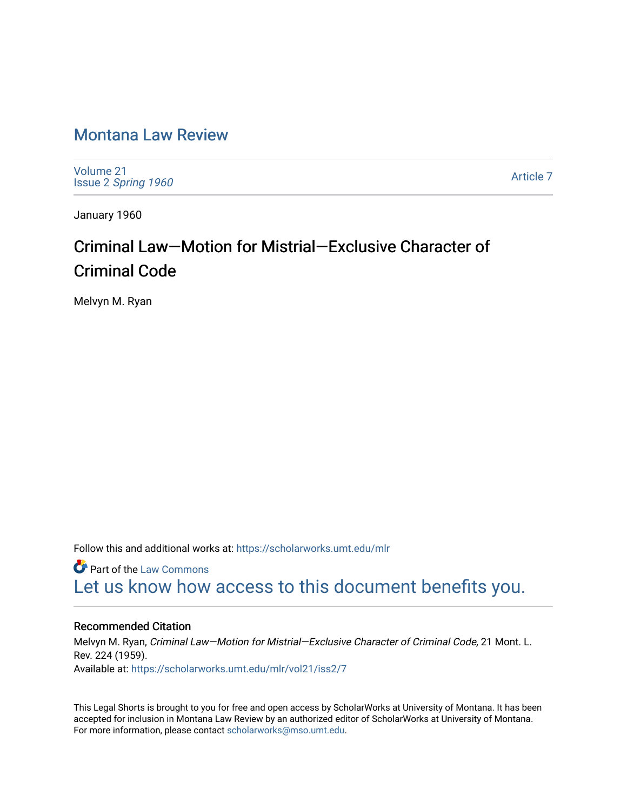# [Montana Law Review](https://scholarworks.umt.edu/mlr)

[Volume 21](https://scholarworks.umt.edu/mlr/vol21) Issue 2 [Spring 1960](https://scholarworks.umt.edu/mlr/vol21/iss2) 

[Article 7](https://scholarworks.umt.edu/mlr/vol21/iss2/7) 

January 1960

# Criminal Law—Motion for Mistrial—Exclusive Character of Criminal Code

Melvyn M. Ryan

Follow this and additional works at: [https://scholarworks.umt.edu/mlr](https://scholarworks.umt.edu/mlr?utm_source=scholarworks.umt.edu%2Fmlr%2Fvol21%2Fiss2%2F7&utm_medium=PDF&utm_campaign=PDFCoverPages) 

**C** Part of the [Law Commons](http://network.bepress.com/hgg/discipline/578?utm_source=scholarworks.umt.edu%2Fmlr%2Fvol21%2Fiss2%2F7&utm_medium=PDF&utm_campaign=PDFCoverPages) [Let us know how access to this document benefits you.](https://goo.gl/forms/s2rGfXOLzz71qgsB2) 

## Recommended Citation

Melvyn M. Ryan, Criminal Law—Motion for Mistrial—Exclusive Character of Criminal Code, 21 Mont. L. Rev. 224 (1959). Available at: [https://scholarworks.umt.edu/mlr/vol21/iss2/7](https://scholarworks.umt.edu/mlr/vol21/iss2/7?utm_source=scholarworks.umt.edu%2Fmlr%2Fvol21%2Fiss2%2F7&utm_medium=PDF&utm_campaign=PDFCoverPages) 

This Legal Shorts is brought to you for free and open access by ScholarWorks at University of Montana. It has been accepted for inclusion in Montana Law Review by an authorized editor of ScholarWorks at University of Montana. For more information, please contact [scholarworks@mso.umt.edu.](mailto:scholarworks@mso.umt.edu)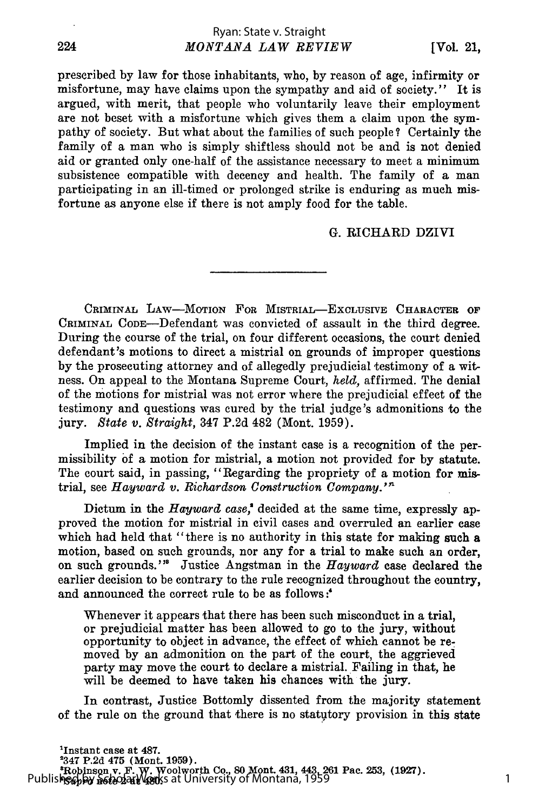prescribed by law for those inhabitants, who, by reason of age, infirmity or misfortune, may have claims upon the sympathy and aid of society." It is argued, with merit, that people who voluntarily leave their employment are not beset with a misfortune which gives them a claim upon the sympathy of society. But what about the families of such people? Certainly the family of a man who is simply shiftless should not be and is not denied aid or granted only one-half of the assistance necessary to meet a minimum subsistence compatible with decency and health. The family of a man participating in an ill-timed or prolonged strike is enduring as much misfortune as anyone else if there is not amply food for the table.

#### **G.** RICHARD DZIVI

CRIMINAL LAW-MOTION FOR MISTRIAL-EXCLUSIVE CHARACTER OF CRIMINAL CODE--Defendant was convicted of assault in the third degree. During the course of the trial, on four different occasions, the court denied defendant's motions to direct a mistrial on grounds of improper questions **by** the prosecuting attorney and of allegedly prejudicial testimony of a witness. On appeal to the Montana Supreme Court, *held,* affirmed. The denial of the motions for mistrial was not error where the prejudicial effect of the testimony and questions was cured **by** the trial judge's admonitions to the jury. *State v. Straight,* 347 **P.2d** 482 (Mont. **1959).**

Implied in the decision of the instant case is a recognition of the permissibility **of** a motion for mistrial, a motion not provided for **by** statute. The court said, in passing, "Regarding the propriety of a motion for mistrial, see *Hayward v. Richardson Construction Company."*

Dictum in the *Hayward case*,<sup>*'*</sup> decided at the same time, expressly approved the motion for mistrial in civil cases and overruled an earlier case which had held that "there is no authority in this state for making such a motion, based on such grounds, nor any for a trial to make such an order, on such grounds."' Justice Angstman in the *Hayward* case declared the earlier decision to be contrary to the rule recognized throughout the country, and announced the correct rule to be as follows:

Whenever it appears that there has been such misconduct in a trial, or prejudicial matter has been allowed to go to the jury, without opportunity to object in advance, the effect of which cannot be removed by an admonition on the part of the court, the aggrieved party may move the court to declare a mistrial. Failing in that, he will be deemed to have taken his chances with the jury.

In contrast, Justice Bottomly dissented from the majority statement of the rule on the ground that there is no statutory provision in this state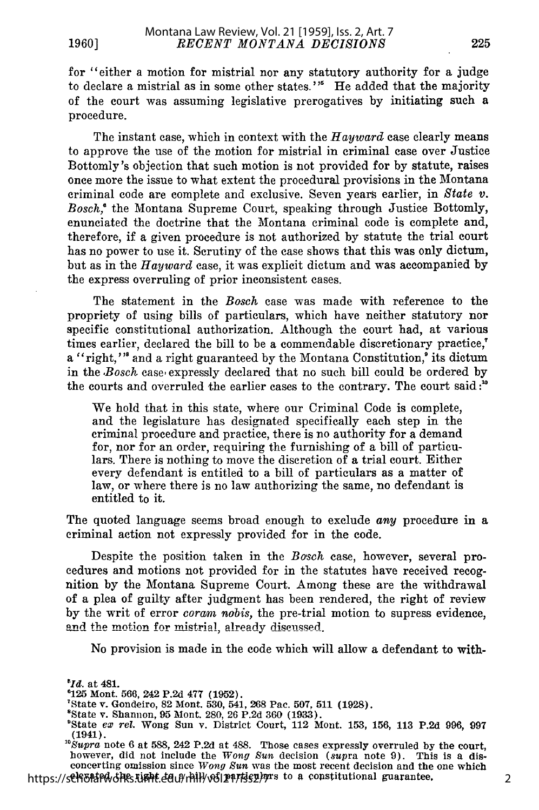for "either a motion for mistrial nor any statutory authority for a judge to declare a mistrial as in some other states. **"'** He added that the majority of the court was assuming legislative prerogatives by initiating such a procedure.

The instant case, which in context with the *Hayward* case clearly means to approve the use of the motion for mistrial in criminal case over Justice Bottomly's objection that such motion is not provided for by statute, raises once more the issue to what extent the procedural provisions in the Montana criminal code are complete and exclusive. Seven years earlier, in *State v. Bosch,'* the Montana Supreme Court, spealing through Justice Bottomly, enunciated the doctrine that the Montana criminal code is complete and, therefore, if a given procedure is not authorized by statute the trial court has no power to use it. Scrutiny of the case shows that this was only dictum, but as in the *Hayward* case, it was explicit dictum and was accompanied by the express overruling of prior inconsistent cases.

The statement in the *Bosch* case was made with reference to the propriety of using bills of particulars, which have neither statutory nor specific constitutional authorization. Although the court had, at various times earlier, declared the bill to be a commendable discretionary practice," a "right,"" and a right guaranteed by the Montana Constitution," its dictum in the *Bosch* case expressly declared that no such bill could be ordered by the courts and overruled the earlier cases to the contrary. The court said *:'*

We hold that in this state, where our Criminal Code is complete, and the legislature has designated specifically each step in the criminal procedure and practice, there is no authority for a demand for, nor for an order, requiring the furnishing of a bill of particulars. There is nothing to move the discretion of a trial court. Either every defendant is entitled to a bill of particulars as a matter of law, or where there is no law authorizing the same, no defendant is entitled to it.

The quoted language seems broad enough to exclude *any* procedure in a criminal action not expressly provided for in the code.

Despite the position taken in the *Bosch* case, however, several procedures and motions not provided for in the statutes have received recognition by the Montana Supreme Court. Among these are the withdrawal of a plea of guilty after judgment has been rendered, the right of review by the writ of error *coram nobis,* the pre-trial motion to supress evidence, and the motion for mistrial, already discussed.

No provision is made in the code which will allow a defendant to with-

2

<sup>&</sup>lt;sup>5</sup>Id. at 481.<br><sup>6</sup>125 Mont. 566, 242 P.2d 477 (1952).

<sup>&#</sup>x27;State v. Gondeiro, 82 Mont. 530, 541, 268 Pac. 507, 511 (1928).<br>"State v. Shannon, 95 Mont. 280, 26 P.2d 360 (1933).

<sup>&</sup>lt;sup>8</sup>State *ex rel.* Wong Sun v. District Court, 112 Mont. 153, 156, 113 P.2d 996, 997 (1941).

*<sup>&</sup>quot;Supra* note 6 at 588, 242 P.2d at 488. Those cases expressly overruled by the court, however, did not include the *Wong Sun* decision (supra note 9). This is a disconcerting omission since *Wong Sun* was the most recent decision and the one which https://schoolarumg.com/content/modulars/holarum.com/with the module module constitutional guarantee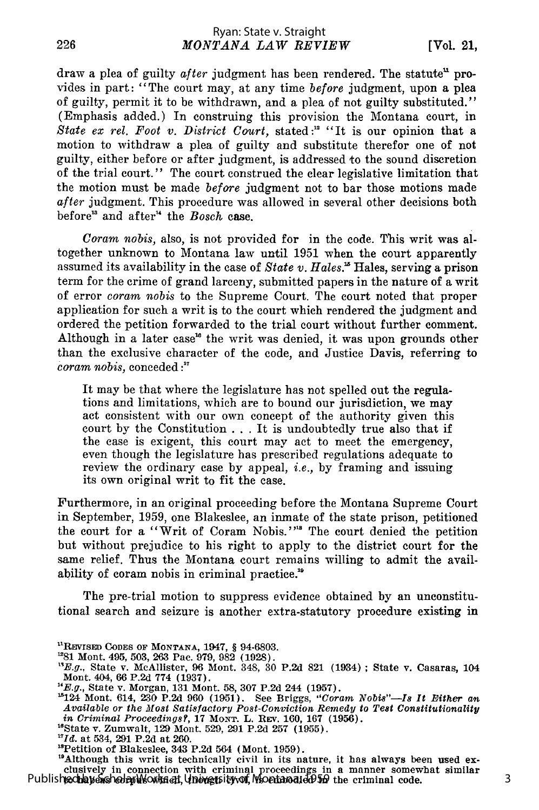draw a plea of guilty after judgment has been rendered. The statute" provides in part: "The court may, at any time *before* judgment, upon a plea of guilty, permit it to be withdrawn, and a plea of not guilty substituted." (Emphasis added.) In construing this provision the Montana court, in *State ex rel. Foot v. District Court,* stated **:"** "It is our opinion that a motion to withdraw a plea of guilty and substitute therefor one of not guilty, either before or after judgment, is addressed to the sound discretion of the trial court." The court construed the clear legislative limitation that the motion must be made *before* judgment not to bar those motions made *after* judgment. This procedure was allowed in several other decisions both before<sup>13</sup> and after<sup>14</sup> the *Bosch* case.

*Coram nobis,* also, is not provided for in the code. This writ was altogether unknown to Montana law until 1951 when the court apparently assumed its availability in the case of *State v. Hales.'* Hales, serving a prison term for the crime of grand larceny, submitted papers in the nature of a writ of error *coram nobis* to the Supreme Court. The court noted that proper application for such a writ is to the court which rendered the judgment and ordered the petition forwarded to the trial court without further comment. Although in a later case<sup>16</sup> the writ was denied, it was upon grounds other than the exclusive character of the code, and Justice Davis, referring to *coram nobis,* conceded **:"**

It may be that where the legislature has not spelled out the regulations and limitations, which are to bound our jurisdiction, we may act consistent with our own concept of the authority given this court by the Constitution ... It is undoubtedly true also that if the case is exigent, this court may act to meet the emergency, even though the legislature has prescribed regulations adequate to review the ordinary case by appeal, *i.e.,* by framing and issuing its own original writ to fit the case.

Furthermore, in an original proceeding before the Montana Supreme Court in September, 1959, one Blakeslee, an inmate of the state prison, petitioned the court for a "Writ of Coram Nobis."<sup>38</sup> The court denied the petition but without prejudice to his right to apply to the district court for the same relief. Thus the Montana court remains willing to admit the availability of coram nobis in criminal practice."

The pre-trial motion to suppress evidence obtained by an unconstitutional search and seizure is another extra-statutory procedure existing in

<sup>19</sup>Although this writ is technically civil in its nature, it has always been used exclusively in connection with criminal proceedings in a manner somewhat similar Published hay exched rules which the west it was Montana, 1959 the criminal code.

226

**<sup>1</sup>REVISED CODES OF MONTANA,** 1947, § **94-6803.**

<sup>&</sup>quot;81 Mont. 495, **503, 263** Pac. **979, 982 (1928). 'E.g.,** State v. McAllister, **96** Mont. 348, **30 P.2d 821** (1934) **;** State v. Casaras, **<sup>104</sup>** Mont. 404, 66 **P.2d 774 (1937).**

<sup>&</sup>quot;E.g., State v. Morgan, 131 Mont. 58, 307 P.2d 244 (1957).<br>
"E.g., State v. Morgan, 131 Mont. 58, 307 P.2d 244 (1957).<br>
"124 Mont. 614, 230 P.2d 960 (1951). See Briggs, "Coram Nobis"—Is It Either an Available or the Most S

<sup>&</sup>quot;State v. Zumwalt, **129** Mont. **529, 291 P.2d 257 (1955).**

*<sup>&#</sup>x27;Id.* at 534, **291 P.2d** at **260.**